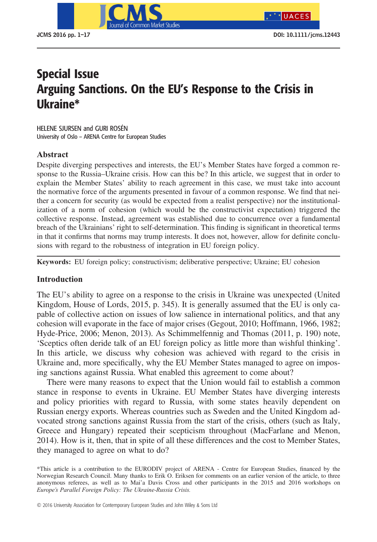

# -<br>Arguing Sanctions. On the EU's Response to the Crisis in<br>Ukraine\* Ukraine\*

HELENE SJURSEN and GURI ROSÉN University of Oslo – ARENA Centre for European Studies

# Abstract

Despite diverging perspectives and interests, the EU's Member States have forged a common response to the Russia–Ukraine crisis. How can this be? In this article, we suggest that in order to explain the Member States' ability to reach agreement in this case, we must take into account the normative force of the arguments presented in favour of a common response. We find that neither a concern for security (as would be expected from a realist perspective) nor the institutionalization of a norm of cohesion (which would be the constructivist expectation) triggered the collective response. Instead, agreement was established due to concurrence over a fundamental breach of the Ukrainians' right to self-determination. This finding is significant in theoretical terms in that it confirms that norms may trump interests. It does not, however, allow for definite conclusions with regard to the robustness of integration in EU foreign policy.

Keywords: EU foreign policy; constructivism; deliberative perspective; Ukraine; EU cohesion

# Introduction

The EU's ability to agree on a response to the crisis in Ukraine was unexpected (United Kingdom, House of Lords, 2015, p. 345). It is generally assumed that the EU is only capable of collective action on issues of low salience in international politics, and that any cohesion will evaporate in the face of major crises (Gegout, 2010; Hoffmann, 1966, 1982; Hyde-Price, 2006; Menon, 2013). As Schimmelfennig and Thomas (2011, p. 190) note, 'Sceptics often deride talk of an EU foreign policy as little more than wishful thinking'. In this article, we discuss why cohesion was achieved with regard to the crisis in Ukraine and, more specifically, why the EU Member States managed to agree on imposing sanctions against Russia. What enabled this agreement to come about?

There were many reasons to expect that the Union would fail to establish a common stance in response to events in Ukraine. EU Member States have diverging interests and policy priorities with regard to Russia, with some states heavily dependent on Russian energy exports. Whereas countries such as Sweden and the United Kingdom advocated strong sanctions against Russia from the start of the crisis, others (such as Italy, Greece and Hungary) repeated their scepticism throughout (MacFarlane and Menon, 2014). How is it, then, that in spite of all these differences and the cost to Member States, they managed to agree on what to do?

<sup>\*</sup>This article is a contribution to the EURODIV project of ARENA - Centre for European Studies, financed by the Norwegian Research Council. Many thanks to Erik O. Eriksen for comments on an earlier version of the article, to three anonymous referees, as well as to Mai'a Davis Cross and other participants in the 2015 and 2016 workshops on Europe's Parallel Foreign Policy: The Ukraine-Russia Crisis.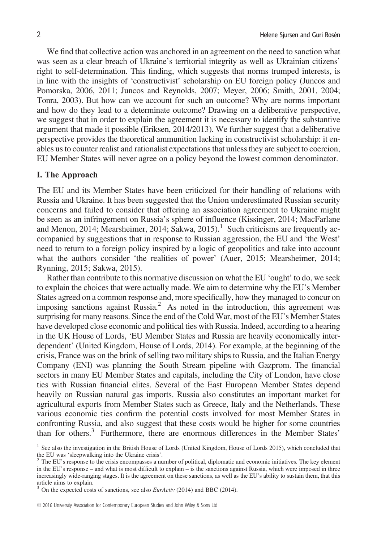We find that collective action was anchored in an agreement on the need to sanction what was seen as a clear breach of Ukraine's territorial integrity as well as Ukrainian citizens' right to self-determination. This finding, which suggests that norms trumped interests, is in line with the insights of 'constructivist' scholarship on EU foreign policy (Juncos and Pomorska, 2006, 2011; Juncos and Reynolds, 2007; Meyer, 2006; Smith, 2001, 2004; Tonra, 2003). But how can we account for such an outcome? Why are norms important and how do they lead to a determinate outcome? Drawing on a deliberative perspective, we suggest that in order to explain the agreement it is necessary to identify the substantive argument that made it possible (Eriksen, 2014/2013). We further suggest that a deliberative perspective provides the theoretical ammunition lacking in constructivist scholarship: it enables us to counter realist and rationalist expectations that unless they are subject to coercion, EU Member States will never agree on a policy beyond the lowest common denominator.

#### I. The Approach

The EU and its Member States have been criticized for their handling of relations with Russia and Ukraine. It has been suggested that the Union underestimated Russian security concerns and failed to consider that offering an association agreement to Ukraine might be seen as an infringement on Russia's sphere of influence (Kissinger, 2014; MacFarlane and Menon, 2014; Mearsheimer, 2014; Sakwa, 2015).<sup>1</sup> Such criticisms are frequently accompanied by suggestions that in response to Russian aggression, the EU and 'the West' need to return to a foreign policy inspired by a logic of geopolitics and take into account what the authors consider 'the realities of power' (Auer, 2015; Mearsheimer, 2014; Rynning, 2015; Sakwa, 2015).

Rather than contribute to this normative discussion on what the EU 'ought' to do, we seek to explain the choices that were actually made. We aim to determine why the EU's Member States agreed on a common response and, more specifically, how they managed to concur on imposing sanctions against Russia.2 As noted in the introduction, this agreement was surprising for many reasons. Since the end of the Cold War, most of the EU's Member States have developed close economic and political ties with Russia. Indeed, according to a hearing in the UK House of Lords, 'EU Member States and Russia are heavily economically interdependent' (United Kingdom, House of Lords, 2014). For example, at the beginning of the crisis, France was on the brink of selling two military ships to Russia, and the Italian Energy Company (ENI) was planning the South Stream pipeline with Gazprom. The financial sectors in many EU Member States and capitals, including the City of London, have close ties with Russian financial elites. Several of the East European Member States depend heavily on Russian natural gas imports. Russia also constitutes an important market for agricultural exports from Member States such as Greece, Italy and the Netherlands. These various economic ties confirm the potential costs involved for most Member States in confronting Russia, and also suggest that these costs would be higher for some countries than for others.<sup>3</sup> Furthermore, there are enormous differences in the Member States'

<sup>&</sup>lt;sup>1</sup> See also the investigation in the British House of Lords (United Kingdom, House of Lords 2015), which concluded that the EU was 'sleepwalking into the Ukraine crisis'.

<sup>&</sup>lt;sup>2</sup> The EU's response to the crisis encompasses a number of political, diplomatic and economic initiatives. The key element in the EU's response – and what is most difficult to explain – is the sanctions against Russia, which were imposed in three increasingly wide-ranging stages. It is the agreement on these sanctions, as well as the EU's ability to sustain them, that this article aims to explain.

 $3$  On the expected costs of sanctions, see also *EurActiv* (2014) and BBC (2014).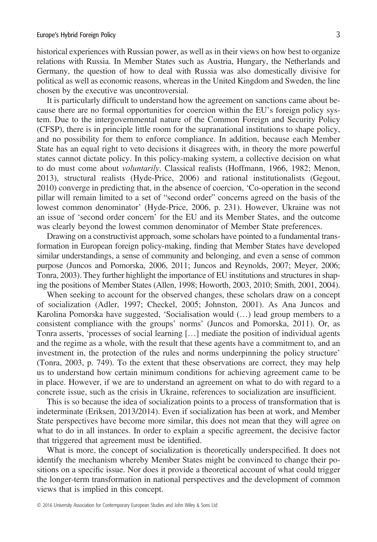historical experiences with Russian power, as well as in their views on how best to organize relations with Russia. In Member States such as Austria, Hungary, the Netherlands and Germany, the question of how to deal with Russia was also domestically divisive for political as well as economic reasons, whereas in the United Kingdom and Sweden, the line chosen by the executive was uncontroversial.

It is particularly difficult to understand how the agreement on sanctions came about because there are no formal opportunities for coercion within the EU's foreign policy system. Due to the intergovernmental nature of the Common Foreign and Security Policy (CFSP), there is in principle little room for the supranational institutions to shape policy, and no possibility for them to enforce compliance. In addition, because each Member State has an equal right to veto decisions it disagrees with, in theory the more powerful states cannot dictate policy. In this policy-making system, a collective decision on what to do must come about voluntarily. Classical realists (Hoffmann, 1966, 1982; Menon, 2013), structural realists (Hyde-Price, 2006) and rational institutionalists (Gegout, 2010) converge in predicting that, in the absence of coercion, 'Co-operation in the second pillar will remain limited to a set of "second order" concerns agreed on the basis of the lowest common denominator' (Hyde-Price, 2006, p. 231). However, Ukraine was not an issue of 'second order concern' for the EU and its Member States, and the outcome was clearly beyond the lowest common denominator of Member State preferences.

Drawing on a constructivist approach, some scholars have pointed to a fundamental transformation in European foreign policy-making, finding that Member States have developed similar understandings, a sense of community and belonging, and even a sense of common purpose (Juncos and Pomorska, 2006, 2011; Juncos and Reynolds, 2007; Meyer, 2006; Tonra, 2003). They further highlight the importance of EU institutions and structures in shaping the positions of Member States (Allen, 1998; Howorth, 2003, 2010; Smith, 2001, 2004).

When seeking to account for the observed changes, these scholars draw on a concept of socialization (Adler, 1997; Checkel, 2005; Johnston, 2001). As Ana Juncos and Karolina Pomorska have suggested, 'Socialisation would (…) lead group members to a consistent compliance with the groups' norms' (Juncos and Pomorska, 2011). Or, as Tonra asserts, 'processes of social learning […] mediate the position of individual agents and the regime as a whole, with the result that these agents have a commitment to, and an investment in, the protection of the rules and norms underpinning the policy structure' (Tonra, 2003, p. 749). To the extent that these observations are correct, they may help us to understand how certain minimum conditions for achieving agreement came to be in place. However, if we are to understand an agreement on what to do with regard to a concrete issue, such as the crisis in Ukraine, references to socialization are insufficient.

This is so because the idea of socialization points to a process of transformation that is indeterminate (Eriksen, 2013/2014). Even if socialization has been at work, and Member State perspectives have become more similar, this does not mean that they will agree on what to do in all instances. In order to explain a specific agreement, the decisive factor that triggered that agreement must be identified.

What is more, the concept of socialization is theoretically underspecified. It does not identify the mechanism whereby Member States might be convinced to change their positions on a specific issue. Nor does it provide a theoretical account of what could trigger the longer-term transformation in national perspectives and the development of common views that is implied in this concept.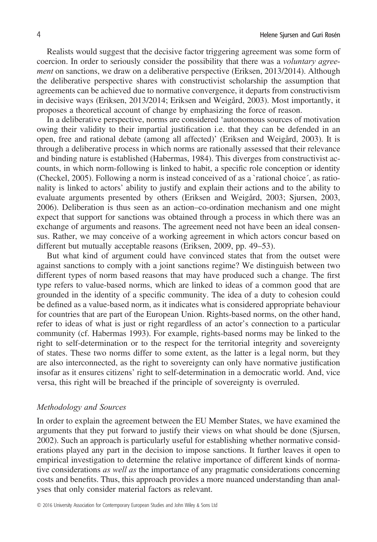Realists would suggest that the decisive factor triggering agreement was some form of coercion. In order to seriously consider the possibility that there was a *voluntary agree*ment on sanctions, we draw on a deliberative perspective (Eriksen, 2013/2014). Although the deliberative perspective shares with constructivist scholarship the assumption that agreements can be achieved due to normative convergence, it departs from constructivism in decisive ways (Eriksen, 2013/2014; Eriksen and Weigård, 2003). Most importantly, it proposes a theoretical account of change by emphasizing the force of reason.

In a deliberative perspective, norms are considered 'autonomous sources of motivation owing their validity to their impartial justification i.e. that they can be defended in an open, free and rational debate (among all affected)' (Eriksen and Weigård, 2003). It is through a deliberative process in which norms are rationally assessed that their relevance and binding nature is established (Habermas, 1984). This diverges from constructivist accounts, in which norm-following is linked to habit, a specific role conception or identity (Checkel, 2005). Following a norm is instead conceived of as a `rational choice´, as rationality is linked to actors' ability to justify and explain their actions and to the ability to evaluate arguments presented by others (Eriksen and Weigård, 2003; Sjursen, 2003, 2006). Deliberation is thus seen as an action–co-ordination mechanism and one might expect that support for sanctions was obtained through a process in which there was an exchange of arguments and reasons. The agreement need not have been an ideal consensus. Rather, we may conceive of a working agreement in which actors concur based on different but mutually acceptable reasons (Eriksen, 2009, pp. 49–53).

But what kind of argument could have convinced states that from the outset were against sanctions to comply with a joint sanctions regime? We distinguish between two different types of norm based reasons that may have produced such a change. The first type refers to value-based norms, which are linked to ideas of a common good that are grounded in the identity of a specific community. The idea of a duty to cohesion could be defined as a value-based norm, as it indicates what is considered appropriate behaviour for countries that are part of the European Union. Rights-based norms, on the other hand, refer to ideas of what is just or right regardless of an actor's connection to a particular community (cf. Habermas 1993). For example, rights-based norms may be linked to the right to self-determination or to the respect for the territorial integrity and sovereignty of states. These two norms differ to some extent, as the latter is a legal norm, but they are also interconnected, as the right to sovereignty can only have normative justification insofar as it ensures citizens' right to self-determination in a democratic world. And, vice versa, this right will be breached if the principle of sovereignty is overruled.

#### Methodology and Sources

In order to explain the agreement between the EU Member States, we have examined the arguments that they put forward to justify their views on what should be done (Sjursen, 2002). Such an approach is particularly useful for establishing whether normative considerations played any part in the decision to impose sanctions. It further leaves it open to empirical investigation to determine the relative importance of different kinds of normative considerations as well as the importance of any pragmatic considerations concerning costs and benefits. Thus, this approach provides a more nuanced understanding than analyses that only consider material factors as relevant.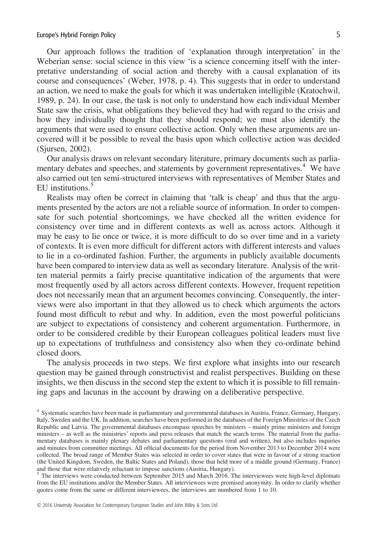#### Europe's Hybrid Foreign Policy 5

Our approach follows the tradition of 'explanation through interpretation' in the Weberian sense: social science in this view 'is a science concerning itself with the interpretative understanding of social action and thereby with a causal explanation of its course and consequences' (Weber, 1978, p. 4). This suggests that in order to understand an action, we need to make the goals for which it was undertaken intelligible (Kratochwil, 1989, p. 24). In our case, the task is not only to understand how each individual Member State saw the crisis, what obligations they believed they had with regard to the crisis and how they individually thought that they should respond; we must also identify the arguments that were used to ensure collective action. Only when these arguments are uncovered will it be possible to reveal the basis upon which collective action was decided (Sjursen, 2002).

Our analysis draws on relevant secondary literature, primary documents such as parliamentary debates and speeches, and statements by government representatives.<sup>4</sup> We have also carried out ten semi-structured interviews with representatives of Member States and EU institutions.<sup>5</sup>

Realists may often be correct in claiming that 'talk is cheap' and thus that the arguments presented by the actors are not a reliable source of information. In order to compensate for such potential shortcomings, we have checked all the written evidence for consistency over time and in different contexts as well as across actors. Although it may be easy to lie once or twice, it is more difficult to do so over time and in a variety of contexts. It is even more difficult for different actors with different interests and values to lie in a co-ordinated fashion. Further, the arguments in publicly available documents have been compared to interview data as well as secondary literature. Analysis of the written material permits a fairly precise quantitative indication of the arguments that were most frequently used by all actors across different contexts. However, frequent repetition does not necessarily mean that an argument becomes convincing. Consequently, the interviews were also important in that they allowed us to check which arguments the actors found most difficult to rebut and why. In addition, even the most powerful politicians are subject to expectations of consistency and coherent argumentation. Furthermore, in order to be considered credible by their European colleagues political leaders must live up to expectations of truthfulness and consistency also when they co-ordinate behind closed doors.

The analysis proceeds in two steps. We first explore what insights into our research question may be gained through constructivist and realist perspectives. Building on these insights, we then discuss in the second step the extent to which it is possible to fill remaining gaps and lacunas in the account by drawing on a deliberative perspective.

<sup>4</sup> Systematic searches have been made in parliamentary and governmental databases in Austria, France, Germany, Hungary, Italy, Sweden and the UK. In addition, searches have been performed in the databases of the Foreign Ministries of the Czech Republic and Latvia. The governmental databases encompass speeches by ministers – mainly prime ministers and foreign ministers – as well as the ministries' reports and press releases that match the search terms. The material from the parliamentary databases is mainly plenary debates and parliamentary questions (oral and written), but also includes inquiries and minutes from committee meetings. All official documents for the period from November 2013 to December 2014 were collected. The broad range of Member States was selected in order to cover states that were in favour of a strong reaction (the United Kingdom, Sweden, the Baltic States and Poland), those that held more of a middle ground (Germany, France) and those that were relatively reluctant to impose sanctions (Austria, Hungary).

<sup>5</sup> The interviews were conducted between September 2015 and March 2016. The interviewees were high-level diplomats from the EU institutions and/or the Member States. All interviewees were promised anonymity. In order to clarify whether quotes come from the same or different interviewees, the interviews are numbered from 1 to 10.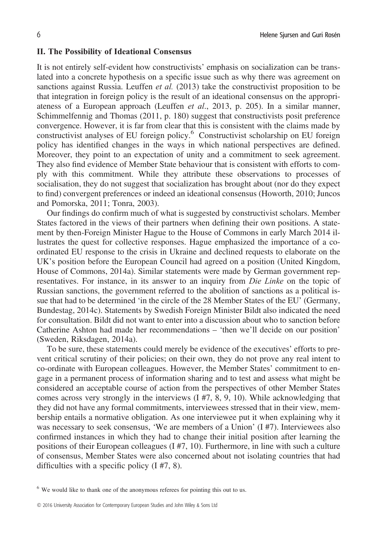### II. The Possibility of Ideational Consensus

It is not entirely self-evident how constructivists' emphasis on socialization can be translated into a concrete hypothesis on a specific issue such as why there was agreement on sanctions against Russia. Leuffen et al. (2013) take the constructivist proposition to be that integration in foreign policy is the result of an ideational consensus on the appropriateness of a European approach (Leuffen et al., 2013, p. 205). In a similar manner, Schimmelfennig and Thomas (2011, p. 180) suggest that constructivists posit preference convergence. However, it is far from clear that this is consistent with the claims made by constructivist analyses of EU foreign policy.<sup>6</sup> Constructivist scholarship on EU foreign policy has identified changes in the ways in which national perspectives are defined. Moreover, they point to an expectation of unity and a commitment to seek agreement. They also find evidence of Member State behaviour that is consistent with efforts to comply with this commitment. While they attribute these observations to processes of socialisation, they do not suggest that socialization has brought about (nor do they expect to find) convergent preferences or indeed an ideational consensus (Howorth, 2010; Juncos and Pomorska, 2011; Tonra, 2003).

Our findings do confirm much of what is suggested by constructivist scholars. Member States factored in the views of their partners when defining their own positions. A statement by then-Foreign Minister Hague to the House of Commons in early March 2014 illustrates the quest for collective responses. Hague emphasized the importance of a coordinated EU response to the crisis in Ukraine and declined requests to elaborate on the UK's position before the European Council had agreed on a position (United Kingdom, House of Commons, 2014a). Similar statements were made by German government representatives. For instance, in its answer to an inquiry from *Die Linke* on the topic of Russian sanctions, the government referred to the abolition of sanctions as a political issue that had to be determined 'in the circle of the 28 Member States of the EU' (Germany, Bundestag, 2014c). Statements by Swedish Foreign Minister Bildt also indicated the need for consultation. Bildt did not want to enter into a discussion about who to sanction before Catherine Ashton had made her recommendations – 'then we'll decide on our position' (Sweden, Riksdagen, 2014a).

To be sure, these statements could merely be evidence of the executives' efforts to prevent critical scrutiny of their policies; on their own, they do not prove any real intent to co-ordinate with European colleagues. However, the Member States' commitment to engage in a permanent process of information sharing and to test and assess what might be considered an acceptable course of action from the perspectives of other Member States comes across very strongly in the interviews  $(1 \# 7, 8, 9, 10)$ . While acknowledging that they did not have any formal commitments, interviewees stressed that in their view, membership entails a normative obligation. As one interviewee put it when explaining why it was necessary to seek consensus, 'We are members of a Union' (I #7). Interviewees also confirmed instances in which they had to change their initial position after learning the positions of their European colleagues (I #7, 10). Furthermore, in line with such a culture of consensus, Member States were also concerned about not isolating countries that had difficulties with a specific policy (I #7, 8).

<sup>&</sup>lt;sup>6</sup> We would like to thank one of the anonymous referees for pointing this out to us.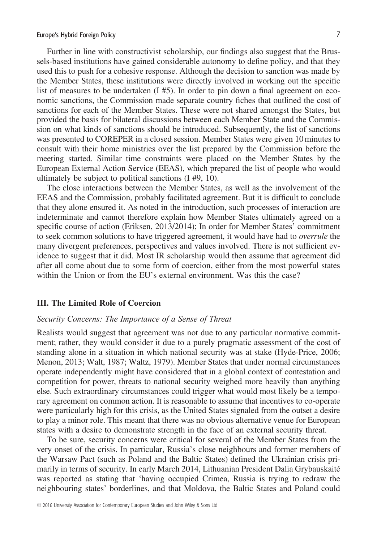#### Europe's Hybrid Foreign Policy 7

Further in line with constructivist scholarship, our findings also suggest that the Brussels-based institutions have gained considerable autonomy to define policy, and that they used this to push for a cohesive response. Although the decision to sanction was made by the Member States, these institutions were directly involved in working out the specific list of measures to be undertaken  $(I \# 5)$ . In order to pin down a final agreement on economic sanctions, the Commission made separate country fiches that outlined the cost of sanctions for each of the Member States. These were not shared amongst the States, but provided the basis for bilateral discussions between each Member State and the Commission on what kinds of sanctions should be introduced. Subsequently, the list of sanctions was presented to COREPER in a closed session. Member States were given 10 minutes to consult with their home ministries over the list prepared by the Commission before the meeting started. Similar time constraints were placed on the Member States by the European External Action Service (EEAS), which prepared the list of people who would ultimately be subject to political sanctions (I #9, 10).

The close interactions between the Member States, as well as the involvement of the EEAS and the Commission, probably facilitated agreement. But it is difficult to conclude that they alone ensured it. As noted in the introduction, such processes of interaction are indeterminate and cannot therefore explain how Member States ultimately agreed on a specific course of action (Eriksen, 2013/2014); In order for Member States' commitment to seek common solutions to have triggered agreement, it would have had to overrule the many divergent preferences, perspectives and values involved. There is not sufficient evidence to suggest that it did. Most IR scholarship would then assume that agreement did after all come about due to some form of coercion, either from the most powerful states within the Union or from the EU's external environment. Was this the case?

#### III. The Limited Role of Coercion

# Security Concerns: The Importance of a Sense of Threat

Realists would suggest that agreement was not due to any particular normative commitment; rather, they would consider it due to a purely pragmatic assessment of the cost of standing alone in a situation in which national security was at stake (Hyde-Price, 2006; Menon, 2013; Walt, 1987; Waltz, 1979). Member States that under normal circumstances operate independently might have considered that in a global context of contestation and competition for power, threats to national security weighed more heavily than anything else. Such extraordinary circumstances could trigger what would most likely be a temporary agreement on common action. It is reasonable to assume that incentives to co-operate were particularly high for this crisis, as the United States signaled from the outset a desire to play a minor role. This meant that there was no obvious alternative venue for European states with a desire to demonstrate strength in the face of an external security threat.

To be sure, security concerns were critical for several of the Member States from the very onset of the crisis. In particular, Russia's close neighbours and former members of the Warsaw Pact (such as Poland and the Baltic States) defined the Ukrainian crisis primarily in terms of security. In early March 2014, Lithuanian President Dalia Grybauskaité was reported as stating that 'having occupied Crimea, Russia is trying to redraw the neighbouring states' borderlines, and that Moldova, the Baltic States and Poland could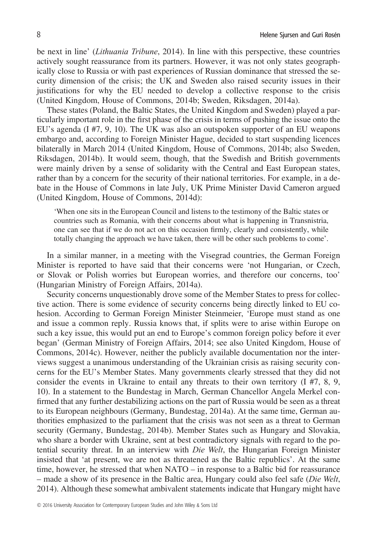be next in line' (Lithuania Tribune, 2014). In line with this perspective, these countries actively sought reassurance from its partners. However, it was not only states geographically close to Russia or with past experiences of Russian dominance that stressed the security dimension of the crisis; the UK and Sweden also raised security issues in their justifications for why the EU needed to develop a collective response to the crisis (United Kingdom, House of Commons, 2014b; Sweden, Riksdagen, 2014a).

These states (Poland, the Baltic States, the United Kingdom and Sweden) played a particularly important role in the first phase of the crisis in terms of pushing the issue onto the EU's agenda (I #7, 9, 10). The UK was also an outspoken supporter of an EU weapons embargo and, according to Foreign Minister Hague, decided to start suspending licences bilaterally in March 2014 (United Kingdom, House of Commons, 2014b; also Sweden, Riksdagen, 2014b). It would seem, though, that the Swedish and British governments were mainly driven by a sense of solidarity with the Central and East European states, rather than by a concern for the security of their national territories. For example, in a debate in the House of Commons in late July, UK Prime Minister David Cameron argued (United Kingdom, House of Commons, 2014d):

'When one sits in the European Council and listens to the testimony of the Baltic states or countries such as Romania, with their concerns about what is happening in Transnistria, one can see that if we do not act on this occasion firmly, clearly and consistently, while totally changing the approach we have taken, there will be other such problems to come'.

In a similar manner, in a meeting with the Visegrad countries, the German Foreign Minister is reported to have said that their concerns were 'not Hungarian, or Czech, or Slovak or Polish worries but European worries, and therefore our concerns, too' (Hungarian Ministry of Foreign Affairs, 2014a).

Security concerns unquestionably drove some of the Member States to press for collective action. There is some evidence of security concerns being directly linked to EU cohesion. According to German Foreign Minister Steinmeier, 'Europe must stand as one and issue a common reply. Russia knows that, if splits were to arise within Europe on such a key issue, this would put an end to Europe's common foreign policy before it ever began' (German Ministry of Foreign Affairs, 2014; see also United Kingdom, House of Commons, 2014c). However, neither the publicly available documentation nor the interviews suggest a unanimous understanding of the Ukrainian crisis as raising security concerns for the EU's Member States. Many governments clearly stressed that they did not consider the events in Ukraine to entail any threats to their own territory (I #7, 8, 9, 10). In a statement to the Bundestag in March, German Chancellor Angela Merkel confirmed that any further destabilizing actions on the part of Russia would be seen as a threat to its European neighbours (Germany, Bundestag, 2014a). At the same time, German authorities emphasized to the parliament that the crisis was not seen as a threat to German security (Germany, Bundestag, 2014b). Member States such as Hungary and Slovakia, who share a border with Ukraine, sent at best contradictory signals with regard to the potential security threat. In an interview with Die Welt, the Hungarian Foreign Minister insisted that 'at present, we are not as threatened as the Baltic republics'. At the same time, however, he stressed that when NATO – in response to a Baltic bid for reassurance – made a show of its presence in the Baltic area, Hungary could also feel safe (Die Welt, 2014). Although these somewhat ambivalent statements indicate that Hungary might have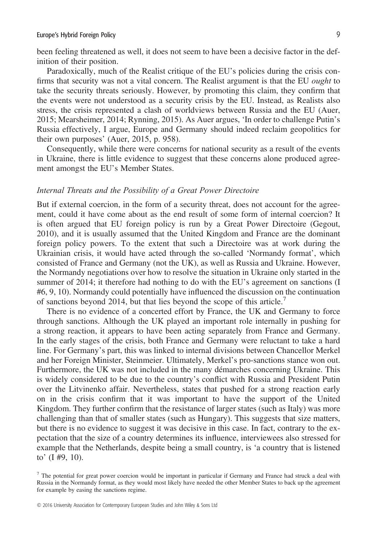been feeling threatened as well, it does not seem to have been a decisive factor in the definition of their position.

Paradoxically, much of the Realist critique of the EU's policies during the crisis confirms that security was not a vital concern. The Realist argument is that the EU ought to take the security threats seriously. However, by promoting this claim, they confirm that the events were not understood as a security crisis by the EU. Instead, as Realists also stress, the crisis represented a clash of worldviews between Russia and the EU (Auer, 2015; Mearsheimer, 2014; Rynning, 2015). As Auer argues, 'In order to challenge Putin's Russia effectively, I argue, Europe and Germany should indeed reclaim geopolitics for their own purposes' (Auer, 2015, p. 958).

Consequently, while there were concerns for national security as a result of the events in Ukraine, there is little evidence to suggest that these concerns alone produced agreement amongst the EU's Member States.

# Internal Threats and the Possibility of a Great Power Directoire

But if external coercion, in the form of a security threat, does not account for the agreement, could it have come about as the end result of some form of internal coercion? It is often argued that EU foreign policy is run by a Great Power Directoire (Gegout, 2010), and it is usually assumed that the United Kingdom and France are the dominant foreign policy powers. To the extent that such a Directoire was at work during the Ukrainian crisis, it would have acted through the so-called 'Normandy format', which consisted of France and Germany (not the UK), as well as Russia and Ukraine. However, the Normandy negotiations over how to resolve the situation in Ukraine only started in the summer of 2014; it therefore had nothing to do with the EU's agreement on sanctions (I #6, 9, 10). Normandy could potentially have influenced the discussion on the continuation of sanctions beyond 2014, but that lies beyond the scope of this article.<sup>7</sup>

There is no evidence of a concerted effort by France, the UK and Germany to force through sanctions. Although the UK played an important role internally in pushing for a strong reaction, it appears to have been acting separately from France and Germany. In the early stages of the crisis, both France and Germany were reluctant to take a hard line. For Germany's part, this was linked to internal divisions between Chancellor Merkel and her Foreign Minister, Steinmeier. Ultimately, Merkel's pro-sanctions stance won out. Furthermore, the UK was not included in the many démarches concerning Ukraine. This is widely considered to be due to the country's conflict with Russia and President Putin over the Litvinenko affair. Nevertheless, states that pushed for a strong reaction early on in the crisis confirm that it was important to have the support of the United Kingdom. They further confirm that the resistance of larger states (such as Italy) was more challenging than that of smaller states (such as Hungary). This suggests that size matters, but there is no evidence to suggest it was decisive in this case. In fact, contrary to the expectation that the size of a country determines its influence, interviewees also stressed for example that the Netherlands, despite being a small country, is 'a country that is listened to' (I #9, 10).

 $7$  The potential for great power coercion would be important in particular if Germany and France had struck a deal with Russia in the Normandy format, as they would most likely have needed the other Member States to back up the agreement for example by easing the sanctions regime.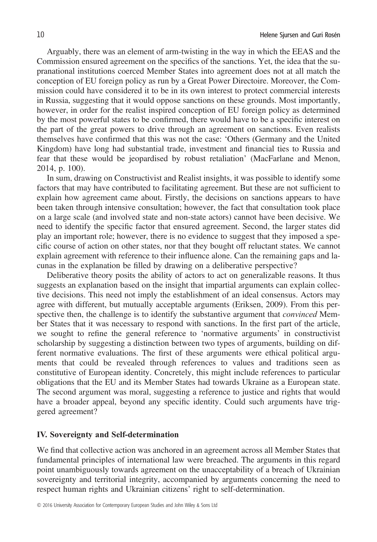Arguably, there was an element of arm-twisting in the way in which the EEAS and the Commission ensured agreement on the specifics of the sanctions. Yet, the idea that the supranational institutions coerced Member States into agreement does not at all match the conception of EU foreign policy as run by a Great Power Directoire. Moreover, the Commission could have considered it to be in its own interest to protect commercial interests in Russia, suggesting that it would oppose sanctions on these grounds. Most importantly, however, in order for the realist inspired conception of EU foreign policy as determined by the most powerful states to be confirmed, there would have to be a specific interest on the part of the great powers to drive through an agreement on sanctions. Even realists themselves have confirmed that this was not the case: 'Others (Germany and the United Kingdom) have long had substantial trade, investment and financial ties to Russia and fear that these would be jeopardised by robust retaliation' (MacFarlane and Menon, 2014, p. 100).

In sum, drawing on Constructivist and Realist insights, it was possible to identify some factors that may have contributed to facilitating agreement. But these are not sufficient to explain how agreement came about. Firstly, the decisions on sanctions appears to have been taken through intensive consultation; however, the fact that consultation took place on a large scale (and involved state and non-state actors) cannot have been decisive. We need to identify the specific factor that ensured agreement. Second, the larger states did play an important role; however, there is no evidence to suggest that they imposed a specific course of action on other states, nor that they bought off reluctant states. We cannot explain agreement with reference to their influence alone. Can the remaining gaps and lacunas in the explanation be filled by drawing on a deliberative perspective?

Deliberative theory posits the ability of actors to act on generalizable reasons. It thus suggests an explanation based on the insight that impartial arguments can explain collective decisions. This need not imply the establishment of an ideal consensus. Actors may agree with different, but mutually acceptable arguments (Eriksen, 2009). From this perspective then, the challenge is to identify the substantive argument that *convinced* Member States that it was necessary to respond with sanctions. In the first part of the article, we sought to refine the general reference to 'normative arguments' in constructivist scholarship by suggesting a distinction between two types of arguments, building on different normative evaluations. The first of these arguments were ethical political arguments that could be revealed through references to values and traditions seen as constitutive of European identity. Concretely, this might include references to particular obligations that the EU and its Member States had towards Ukraine as a European state. The second argument was moral, suggesting a reference to justice and rights that would have a broader appeal, beyond any specific identity. Could such arguments have triggered agreement?

## IV. Sovereignty and Self-determination

We find that collective action was anchored in an agreement across all Member States that fundamental principles of international law were breached. The arguments in this regard point unambiguously towards agreement on the unacceptability of a breach of Ukrainian sovereignty and territorial integrity, accompanied by arguments concerning the need to respect human rights and Ukrainian citizens' right to self-determination.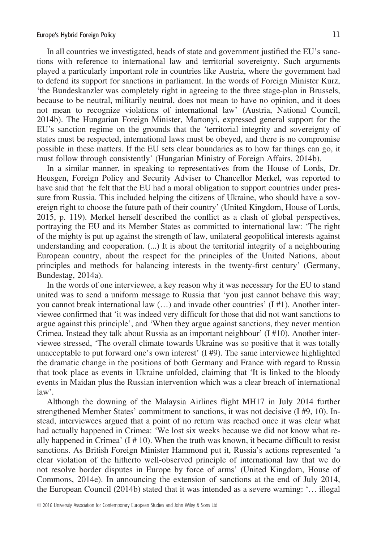In all countries we investigated, heads of state and government justified the EU's sanctions with reference to international law and territorial sovereignty. Such arguments played a particularly important role in countries like Austria, where the government had to defend its support for sanctions in parliament. In the words of Foreign Minister Kurz, 'the Bundeskanzler was completely right in agreeing to the three stage-plan in Brussels, because to be neutral, militarily neutral, does not mean to have no opinion, and it does not mean to recognize violations of international law' (Austria, National Council, 2014b). The Hungarian Foreign Minister, Martonyi, expressed general support for the EU's sanction regime on the grounds that the 'territorial integrity and sovereignty of states must be respected, international laws must be obeyed, and there is no compromise possible in these matters. If the EU sets clear boundaries as to how far things can go, it must follow through consistently' (Hungarian Ministry of Foreign Affairs, 2014b).

In a similar manner, in speaking to representatives from the House of Lords, Dr. Heusgen, Foreign Policy and Security Adviser to Chancellor Merkel, was reported to have said that 'he felt that the EU had a moral obligation to support countries under pressure from Russia. This included helping the citizens of Ukraine, who should have a sovereign right to choose the future path of their country' (United Kingdom, House of Lords, 2015, p. 119). Merkel herself described the conflict as a clash of global perspectives, portraying the EU and its Member States as committed to international law: 'The right of the mighty is put up against the strength of law, unilateral geopolitical interests against understanding and cooperation. (...) It is about the territorial integrity of a neighbouring European country, about the respect for the principles of the United Nations, about principles and methods for balancing interests in the twenty-first century' (Germany, Bundestag, 2014a).

In the words of one interviewee, a key reason why it was necessary for the EU to stand united was to send a uniform message to Russia that 'you just cannot behave this way; you cannot break international law  $(\ldots)$  and invade other countries'  $(I \# I)$ . Another interviewee confirmed that 'it was indeed very difficult for those that did not want sanctions to argue against this principle', and 'When they argue against sanctions, they never mention Crimea. Instead they talk about Russia as an important neighbour' (I #10). Another interviewee stressed, 'The overall climate towards Ukraine was so positive that it was totally unacceptable to put forward one's own interest'  $(I \# 9)$ . The same interviewee highlighted the dramatic change in the positions of both Germany and France with regard to Russia that took place as events in Ukraine unfolded, claiming that 'It is linked to the bloody events in Maidan plus the Russian intervention which was a clear breach of international law'.

Although the downing of the Malaysia Airlines flight MH17 in July 2014 further strengthened Member States' commitment to sanctions, it was not decisive (I #9, 10). Instead, interviewees argued that a point of no return was reached once it was clear what had actually happened in Crimea: 'We lost six weeks because we did not know what really happened in Crimea'  $(I \# 10)$ . When the truth was known, it became difficult to resist sanctions. As British Foreign Minister Hammond put it, Russia's actions represented 'a clear violation of the hitherto well-observed principle of international law that we do not resolve border disputes in Europe by force of arms' (United Kingdom, House of Commons, 2014e). In announcing the extension of sanctions at the end of July 2014, the European Council (2014b) stated that it was intended as a severe warning: '… illegal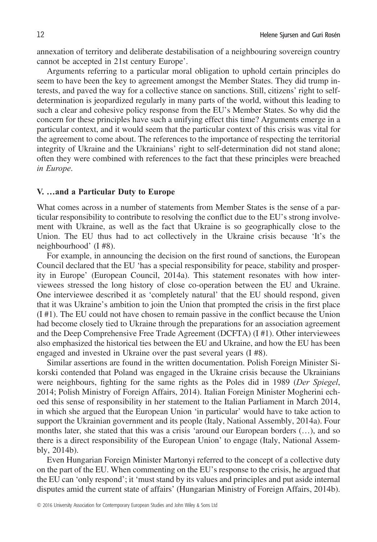annexation of territory and deliberate destabilisation of a neighbouring sovereign country cannot be accepted in 21st century Europe'.

Arguments referring to a particular moral obligation to uphold certain principles do seem to have been the key to agreement amongst the Member States. They did trump interests, and paved the way for a collective stance on sanctions. Still, citizens' right to selfdetermination is jeopardized regularly in many parts of the world, without this leading to such a clear and cohesive policy response from the EU's Member States. So why did the concern for these principles have such a unifying effect this time? Arguments emerge in a particular context, and it would seem that the particular context of this crisis was vital for the agreement to come about. The references to the importance of respecting the territorial integrity of Ukraine and the Ukrainians' right to self-determination did not stand alone; often they were combined with references to the fact that these principles were breached in Europe.

# V. …and a Particular Duty to Europe

What comes across in a number of statements from Member States is the sense of a particular responsibility to contribute to resolving the conflict due to the EU's strong involvement with Ukraine, as well as the fact that Ukraine is so geographically close to the Union. The EU thus had to act collectively in the Ukraine crisis because 'It's the neighbourhood' (I #8).

For example, in announcing the decision on the first round of sanctions, the European Council declared that the EU 'has a special responsibility for peace, stability and prosperity in Europe' (European Council, 2014a). This statement resonates with how interviewees stressed the long history of close co-operation between the EU and Ukraine. One interviewee described it as 'completely natural' that the EU should respond, given that it was Ukraine's ambition to join the Union that prompted the crisis in the first place (I #1). The EU could not have chosen to remain passive in the conflict because the Union had become closely tied to Ukraine through the preparations for an association agreement and the Deep Comprehensive Free Trade Agreement (DCFTA) (I #1). Other interviewees also emphasized the historical ties between the EU and Ukraine, and how the EU has been engaged and invested in Ukraine over the past several years (I #8).

Similar assertions are found in the written documentation. Polish Foreign Minister Sikorski contended that Poland was engaged in the Ukraine crisis because the Ukrainians were neighbours, fighting for the same rights as the Poles did in 1989 (Der Spiegel, 2014; Polish Ministry of Foreign Affairs, 2014). Italian Foreign Minister Mogherini echoed this sense of responsibility in her statement to the Italian Parliament in March 2014, in which she argued that the European Union 'in particular' would have to take action to support the Ukrainian government and its people (Italy, National Assembly, 2014a). Four months later, she stated that this was a crisis 'around our European borders (…), and so there is a direct responsibility of the European Union' to engage (Italy, National Assembly, 2014b).

Even Hungarian Foreign Minister Martonyi referred to the concept of a collective duty on the part of the EU. When commenting on the EU's response to the crisis, he argued that the EU can 'only respond'; it 'must stand by its values and principles and put aside internal disputes amid the current state of affairs' (Hungarian Ministry of Foreign Affairs, 2014b).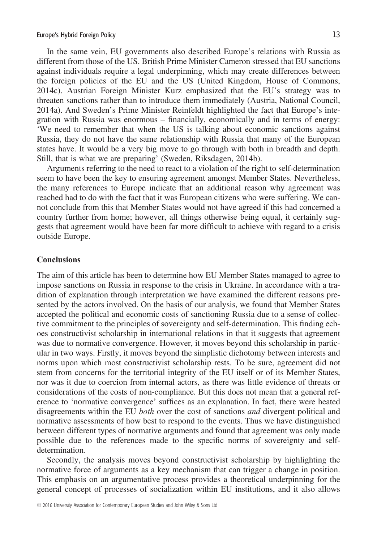In the same vein, EU governments also described Europe's relations with Russia as different from those of the US. British Prime Minister Cameron stressed that EU sanctions against individuals require a legal underpinning, which may create differences between the foreign policies of the EU and the US (United Kingdom, House of Commons, 2014c). Austrian Foreign Minister Kurz emphasized that the EU's strategy was to threaten sanctions rather than to introduce them immediately (Austria, National Council, 2014a). And Sweden's Prime Minister Reinfeldt highlighted the fact that Europe's integration with Russia was enormous – financially, economically and in terms of energy: 'We need to remember that when the US is talking about economic sanctions against Russia, they do not have the same relationship with Russia that many of the European states have. It would be a very big move to go through with both in breadth and depth. Still, that is what we are preparing' (Sweden, Riksdagen, 2014b).

Arguments referring to the need to react to a violation of the right to self-determination seem to have been the key to ensuring agreement amongst Member States. Nevertheless, the many references to Europe indicate that an additional reason why agreement was reached had to do with the fact that it was European citizens who were suffering. We cannot conclude from this that Member States would not have agreed if this had concerned a country further from home; however, all things otherwise being equal, it certainly suggests that agreement would have been far more difficult to achieve with regard to a crisis outside Europe.

# **Conclusions**

The aim of this article has been to determine how EU Member States managed to agree to impose sanctions on Russia in response to the crisis in Ukraine. In accordance with a tradition of explanation through interpretation we have examined the different reasons presented by the actors involved. On the basis of our analysis, we found that Member States accepted the political and economic costs of sanctioning Russia due to a sense of collective commitment to the principles of sovereignty and self-determination. This finding echoes constructivist scholarship in international relations in that it suggests that agreement was due to normative convergence. However, it moves beyond this scholarship in particular in two ways. Firstly, it moves beyond the simplistic dichotomy between interests and norms upon which most constructivist scholarship rests. To be sure, agreement did not stem from concerns for the territorial integrity of the EU itself or of its Member States, nor was it due to coercion from internal actors, as there was little evidence of threats or considerations of the costs of non-compliance. But this does not mean that a general reference to 'normative convergence' suffices as an explanation. In fact, there were heated disagreements within the EU *both* over the cost of sanctions *and* divergent political and normative assessments of how best to respond to the events. Thus we have distinguished between different types of normative arguments and found that agreement was only made possible due to the references made to the specific norms of sovereignty and selfdetermination.

Secondly, the analysis moves beyond constructivist scholarship by highlighting the normative force of arguments as a key mechanism that can trigger a change in position. This emphasis on an argumentative process provides a theoretical underpinning for the general concept of processes of socialization within EU institutions, and it also allows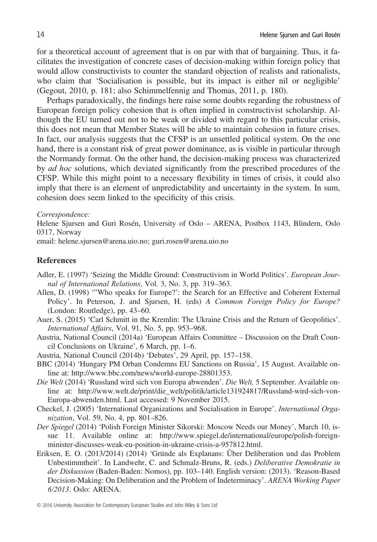for a theoretical account of agreement that is on par with that of bargaining. Thus, it facilitates the investigation of concrete cases of decision-making within foreign policy that would allow constructivists to counter the standard objection of realists and rationalists, who claim that 'Socialisation is possible, but its impact is either nil or negligible' (Gegout, 2010, p. 181; also Schimmelfennig and Thomas, 2011, p. 180).

Perhaps paradoxically, the findings here raise some doubts regarding the robustness of European foreign policy cohesion that is often implied in constructivist scholarship. Although the EU turned out not to be weak or divided with regard to this particular crisis, this does not mean that Member States will be able to maintain cohesion in future crises. In fact, our analysis suggests that the CFSP is an unsettled political system. On the one hand, there is a constant risk of great power dominance, as is visible in particular through the Normandy format. On the other hand, the decision-making process was characterized by *ad hoc* solutions, which deviated significantly from the prescribed procedures of the CFSP. While this might point to a necessary flexibility in times of crisis, it could also imply that there is an element of unpredictability and uncertainty in the system. In sum, cohesion does seem linked to the specificity of this crisis.

#### Correspondence:

Helene Sjursen and Guri Rosén, University of Oslo – ARENA, Postbox 1143, Blindern, Oslo 0317, Norway

email: helene.sjursen@arena.uio.no; guri.rosen@arena.uio.no

# References

- Adler, E. (1997) 'Seizing the Middle Ground: Constructivism in World Politics'. European Journal of International Relations, Vol. 3, No. 3, pp. 319–363.
- Allen, D. (1998) '"Who speaks for Europe?': the Search for an Effective and Coherent External Policy'. In Peterson, J. and Sjursen, H. (eds) A Common Foreign Policy for Europe? (London: Routledge), pp. 43–60.
- Auer, S. (2015) 'Carl Schmitt in the Kremlin: The Ukraine Crisis and the Return of Geopolitics'. International Affairs, Vol. 91, No. 5, pp. 953–968.
- Austria, National Council (2014a) 'European Affairs Committee Discussion on the Draft Council Conclusions on Ukraine', 6 March, pp. 1–6.
- Austria, National Council (2014b) 'Debates', 29 April, pp. 157–158.
- BBC (2014) 'Hungary PM Orban Condemns EU Sanctions on Russia', 15 August. Available online at:<http://www.bbc.com/news/world-europe-28801353>.
- Die Welt (2014) 'Russland wird sich von Europa abwenden'. Die Welt, 5 September. Available online at: [http://www.welt.de/print/die\\_welt/politik/article131924817/Russland-wird-sich-von-](https://mc.manuscriptcentral.com/LongRequest/jocms?DOWNLOAD=TRUE&PARAMS=xik_UQj4y71SgAeoEtSNMLKbp97Nt7rfVbKV2Ms39ot2fEXZPvMW1T2jq6oE2Y5MAFx7K6wM14EXha5Lz2rv7XeXd2W37saG3udKtEmWvesQJetJcXNYLqhw96nVuUrbfiFoUv83QGxRFT55yTFPzqCnESkJTPLy3D2QuMvmiXA9umMVcn6dYDhn5idUTdVNyZUYn7P6gJsvxjsoyt3RBA8bnmFgU2q6sJ9fdK6dqfN7PuQzhJXapS15gjEA5W5BF1G2raK5sgJk96VVpmTTS9U3z3arDTM2oD3d6HTTipQQVKNL9Sn1y3)[Europa-abwenden.html](https://mc.manuscriptcentral.com/LongRequest/jocms?DOWNLOAD=TRUE&PARAMS=xik_UQj4y71SgAeoEtSNMLKbp97Nt7rfVbKV2Ms39ot2fEXZPvMW1T2jq6oE2Y5MAFx7K6wM14EXha5Lz2rv7XeXd2W37saG3udKtEmWvesQJetJcXNYLqhw96nVuUrbfiFoUv83QGxRFT55yTFPzqCnESkJTPLy3D2QuMvmiXA9umMVcn6dYDhn5idUTdVNyZUYn7P6gJsvxjsoyt3RBA8bnmFgU2q6sJ9fdK6dqfN7PuQzhJXapS15gjEA5W5BF1G2raK5sgJk96VVpmTTS9U3z3arDTM2oD3d6HTTipQQVKNL9Sn1y3). Last accessed: 9 November 2015.
- Checkel, J. (2005) 'International Organizations and Socialisation in Europe'. International Organization, Vol. 59, No. 4, pp. 801–826.
- Der Spiegel (2014) 'Polish Foreign Minister Sikorski: Moscow Needs our Money', March 10, issue 11. Available online at: [http://www.spiegel.de/international/europe/polish-foreign](http://www.spiegel.de/international/europe/polish-foreign-minister-discusses-weak-eu-position-in-ukraine-crisis-a-957812.html)[minister-discusses-weak-eu-position-in-ukraine-crisis-a-957812.html](http://www.spiegel.de/international/europe/polish-foreign-minister-discusses-weak-eu-position-in-ukraine-crisis-a-957812.html).
- Eriksen, E. O. (2013/2014) (2014) 'Gründe als Explanans: Ûber Deliberation und das Problem Unbestimmtheit'. In Landwehr, C. and Schmalz-Bruns, R. (eds.) Deliberative Demokratie in der Diskussion (Baden-Baden: Nomos), pp. 103-140. English version: (2013). 'Reason-Based Decision-Making: On Deliberation and the Problem of Indeterminacy'. ARENA Working Paper 6/2013. Oslo: ARENA.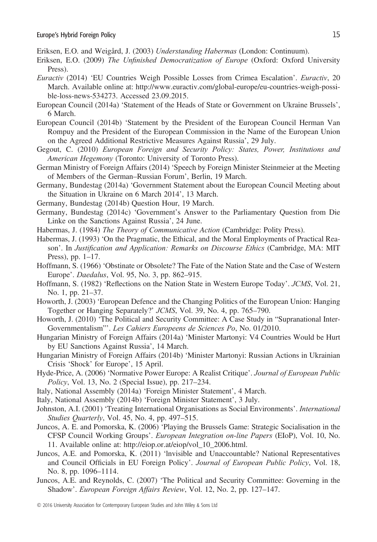- Eriksen, E.O. and Weigård, J. (2003) Understanding Habermas (London: Continuum).
- Eriksen, E.O. (2009) The Unfinished Democratization of Europe (Oxford: Oxford University Press).
- Euractiv (2014) 'EU Countries Weigh Possible Losses from Crimea Escalation'. Euractiv, 20 March. Available online at: [http://www.euractiv.com/global-europe/eu-countries-weigh-possi](http://www.euractiv.com/global-europe/eu-countries-weigh-possible-loss-news-534273)[ble-loss-news-534273.](http://www.euractiv.com/global-europe/eu-countries-weigh-possible-loss-news-534273) Accessed 23.09.2015.
- European Council (2014a) 'Statement of the Heads of State or Government on Ukraine Brussels', 6 March.
- European Council (2014b) 'Statement by the President of the European Council Herman Van Rompuy and the President of the European Commission in the Name of the European Union on the Agreed Additional Restrictive Measures Against Russia', 29 July.
- Gegout, C. (2010) European Foreign and Security Policy: States, Power, Institutions and American Hegemony (Toronto: University of Toronto Press).
- German Ministry of Foreign Affairs (2014) 'Speech by Foreign Minister Steinmeier at the Meeting of Members of the German–Russian Forum', Berlin, 19 March.
- Germany, Bundestag (2014a) 'Government Statement about the European Council Meeting about the Situation in Ukraine on 6 March 2014', 13 March.
- Germany, Bundestag (2014b) Question Hour, 19 March.
- Germany, Bundestag (2014c) 'Government's Answer to the Parliamentary Question from Die Linke on the Sanctions Against Russia', 24 June.
- Habermas, J. (1984) The Theory of Communicative Action (Cambridge: Polity Press).
- Habermas, J. (1993) 'On the Pragmatic, the Ethical, and the Moral Employments of Practical Reason'. In Justification and Application: Remarks on Discourse Ethics (Cambridge, MA: MIT) Press), pp. 1–17.
- Hoffmann, S. (1966) 'Obstinate or Obsolete? The Fate of the Nation State and the Case of Western Europe'. Daedalus, Vol. 95, No. 3, pp. 862–915.
- Hoffmann, S. (1982) 'Reflections on the Nation State in Western Europe Today'. JCMS, Vol. 21, No. 1, pp. 21–37.
- Howorth, J. (2003) 'European Defence and the Changing Politics of the European Union: Hanging Together or Hanging Separately?' JCMS, Vol. 39, No. 4, pp. 765–790.
- Howorth, J. (2010) 'The Political and Security Committee: A Case Study in "Supranational Inter-Governmentalism"'. Les Cahiers Europeens de Sciences Po, No. 01/2010.
- Hungarian Ministry of Foreign Affairs (2014a) 'Minister Martonyi: V4 Countries Would be Hurt by EU Sanctions Against Russia', 14 March.
- Hungarian Ministry of Foreign Affairs (2014b) 'Minister Martonyi: Russian Actions in Ukrainian Crisis 'Shock' for Europe', 15 April.
- Hyde-Price, A. (2006) 'Normative Power Europe: A Realist Critique'. Journal of European Public Policy, Vol. 13, No. 2 (Special Issue), pp. 217–234.
- Italy, National Assembly (2014a) 'Foreign Minister Statement', 4 March.
- Italy, National Assembly (2014b) 'Foreign Minister Statement', 3 July.
- Johnston, A.I. (2001) 'Treating International Organisations as Social Environments'. International Studies Quarterly, Vol. 45, No. 4, pp. 497–515.
- Juncos, A. E. and Pomorska, K. (2006) 'Playing the Brussels Game: Strategic Socialisation in the CFSP Council Working Groups'. European Integration on-line Papers (EIoP), Vol. 10, No. 11. Available online at: [http://eiop.or.at/eiop/vol\\_10\\_2006.html.](http://eiop.or.at/eiop/vol_10_2006.html)
- Juncos, A.E. and Pomorska, K. (2011) 'lnvisible and Unaccountable? National Representatives and Council Officials in EU Foreign Policy'. Journal of European Public Policy, Vol. 18, No. 8, pp. 1096–1114.
- Juncos, A.E. and Reynolds, C. (2007) 'The Political and Security Committee: Governing in the Shadow'. European Foreign Affairs Review, Vol. 12, No. 2, pp. 127–147.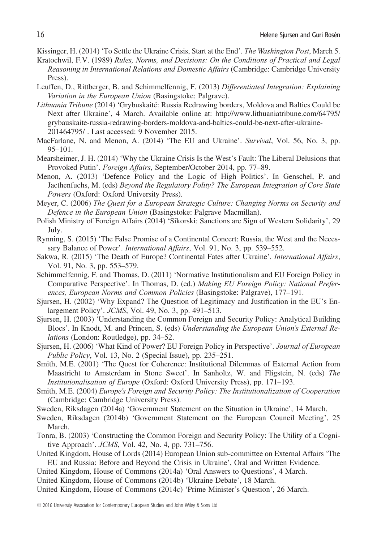Kissinger, H. (2014) 'To Settle the Ukraine Crisis, Start at the End'. The Washington Post, March 5.

- Kratochwil, F.V. (1989) Rules, Norms, and Decisions: On the Conditions of Practical and Legal Reasoning in International Relations and Domestic Affairs (Cambridge: Cambridge University Press).
- Leuffen, D., Rittberger, B. and Schimmelfennig, F. (2013) Differentiated Integration: Explaining Variation in the European Union (Basingstoke: Palgrave).
- Lithuania Tribune (2014) 'Grybuskaité: Russia Redrawing borders, Moldova and Baltics Could be Next after Ukraine', 4 March. Available online at: [http://www.lithuaniatribune.com/64795/](http://www.lithuaniatribune.com/64795/grybauskaite-russia-redrawing-borders-moldova-and-baltics-could-be-next-after-ukraine-201464795/) [grybauskaite-russia-redrawing-borders-moldova-and-baltics-could-be-next-after-ukraine-](http://www.lithuaniatribune.com/64795/grybauskaite-russia-redrawing-borders-moldova-and-baltics-could-be-next-after-ukraine-201464795/)[201464795/](http://www.lithuaniatribune.com/64795/grybauskaite-russia-redrawing-borders-moldova-and-baltics-could-be-next-after-ukraine-201464795/) . Last accessed: 9 November 2015.
- MacFarlane, N. and Menon, A. (2014) 'The EU and Ukraine'. Survival, Vol. 56, No. 3, pp. 95–101.
- Mearsheimer, J. H. (2014) 'Why the Ukraine Crisis Is the West's Fault: The Liberal Delusions that Provoked Putin'. Foreign Affairs, September/October 2014, pp. 77–89.
- Menon, A. (2013) 'Defence Policy and the Logic of High Politics'. In Genschel, P. and Jacthenfuchs, M. (eds) Beyond the Regulatory Polity? The European Integration of Core State Powers (Oxford: Oxford University Press).
- Meyer, C. (2006) The Quest for a European Strategic Culture: Changing Norms on Security and Defence in the European Union (Basingstoke: Palgrave Macmillan).
- Polish Ministry of Foreign Affairs (2014) 'Sikorski: Sanctions are Sign of Western Solidarity', 29 July.
- Rynning, S. (2015) 'The False Promise of a Continental Concert: Russia, the West and the Necessary Balance of Power'. *International Affairs*, Vol. 91, No. 3, pp. 539–552.
- Sakwa, R. (2015) 'The Death of Europe? Continental Fates after Ukraine'. International Affairs, Vol. 91, No. 3, pp. 553–579.
- Schimmelfennig, F. and Thomas, D. (2011) 'Normative Institutionalism and EU Foreign Policy in Comparative Perspective'. In Thomas, D. (ed.) Making EU Foreign Policy: National Preferences, European Norms and Common Policies (Basingstoke: Palgrave), 177–191.
- Sjursen, H. (2002) 'Why Expand? The Question of Legitimacy and Justification in the EU's Enlargement Policy'. JCMS, Vol. 49, No. 3, pp. 491–513.
- Sjursen, H. (2003) 'Understanding the Common Foreign and Security Policy: Analytical Building Blocs'. In Knodt, M. and Princen, S. (eds) Understanding the European Union's External Relations (London: Routledge), pp. 34–52.
- Sjursen, H. (2006) 'What Kind of Power? EU Foreign Policy in Perspective'. Journal of European Public Policy, Vol. 13, No. 2 (Special Issue), pp. 235–251.
- Smith, M.E. (2001) 'The Quest for Coherence: Institutional Dilemmas of External Action from Maastricht to Amsterdam in Stone Sweet'. In Sanholtz, W. and Fligstein, N. (eds) The Institutionalisation of Europe (Oxford: Oxford University Press), pp. 171–193.
- Smith, M.E. (2004) Europe's Foreign and Security Policy: The Institutionalization of Cooperation (Cambridge: Cambridge University Press).
- Sweden, Riksdagen (2014a) 'Government Statement on the Situation in Ukraine', 14 March.
- Sweden, Riksdagen (2014b) 'Government Statement on the European Council Meeting', 25 March.
- Tonra, B. (2003) 'Constructing the Common Foreign and Security Policy: The Utility of a Cognitive Approach'. JCMS, Vol. 42, No. 4, pp. 731–756.
- United Kingdom, House of Lords (2014) European Union sub-committee on External Affairs 'The EU and Russia: Before and Beyond the Crisis in Ukraine', Oral and Written Evidence.
- United Kingdom, House of Commons (2014a) 'Oral Answers to Questions', 4 March.
- United Kingdom, House of Commons (2014b) 'Ukraine Debate', 18 March.
- United Kingdom, House of Commons (2014c) 'Prime Minister's Question', 26 March.